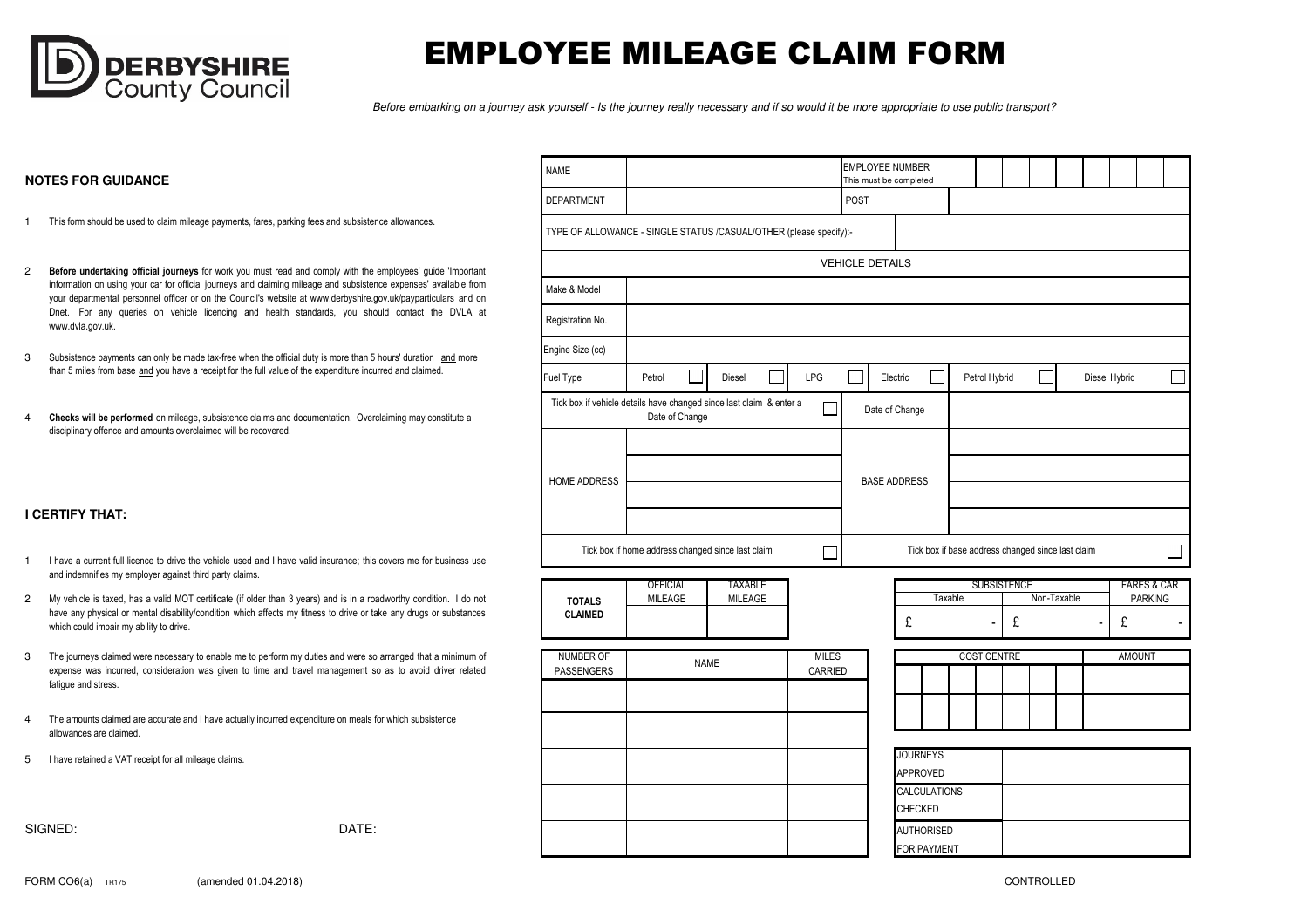

## EMPLOYEE MILEAGE CLAIM FORM

Before embarking on a journey ask yourself - Is the journey really necessary and if so would it be more appropriate to use public transport?

## **NOTES FOR GUIDANCE**

- 1This form should be used to claim mileage payments, fares, parking fees and subsistence allowances.
- 2Before undertaking official journeys for work you must read and comply with the employees' guide 'Important information on using your car for official journeys and claiming mileage and subsistence expenses' available from your departmental personnel officer or on the Council's website at www.derbyshire.gov.uk/payparticulars and on Dnet. For any queries on vehicle licencing and health standards, you should contact the DVLA at www.dvla.gov.uk
- 3Subsistence payments can only be made tax-free when the official duty is more than 5 hours' duration and more than 5 miles from base and you have a receipt for the full value of the expenditure incurred and claimed.
- 4Checks will be performed on mileage, subsistence claims and documentation. Overclaiming may constitute a disciplinary offence and amounts overclaimed will be recovered.

|  | <b>I CERTIFY THAT:</b> |  |
|--|------------------------|--|
|  |                        |  |

- 1I have <sup>a</sup> current full licence to drive the vehicle used and I have valid insurance; this covers me for business useand indemnifies my employer against third party claims.
- 2My vehicle is taxed, has <sup>a</sup> valid MOT certificate (if older than 3 years) and is in <sup>a</sup> roadworthy condition. I do not have any physical or mental disability/condition which affects my fitness to drive or take any drugs or substanceswhich could impair my ability to drive.
- 3The journeys claimed were necessary to enable me to perform my duties and were so arranged that <sup>a</sup> minimum of expense was incurred, consideration was given to time and travel management so as to avoid driver relatedfatigue and stress.

DATE:

- 4The amounts claimed are accurate and I have actually incurred expenditure on meals for which subsistence allowances are claimed.
- 5 I have retained a VAT receipt for all mileage claims.

SIGNED:

| <b>NAME</b>                                                        |                                                                                       |                                  |              | <b>EMPLOYEE NUMBER</b><br>This must be completed |                   |                                    |  |         |                                                   |   |  |             |   |               |                |                        |
|--------------------------------------------------------------------|---------------------------------------------------------------------------------------|----------------------------------|--------------|--------------------------------------------------|-------------------|------------------------------------|--|---------|---------------------------------------------------|---|--|-------------|---|---------------|----------------|------------------------|
| <b>DEPARTMENT</b>                                                  |                                                                                       |                                  |              | POST                                             |                   |                                    |  |         |                                                   |   |  |             |   |               |                |                        |
| TYPE OF ALLOWANCE - SINGLE STATUS /CASUAL/OTHER (please specify):- |                                                                                       |                                  |              |                                                  |                   |                                    |  |         |                                                   |   |  |             |   |               |                |                        |
|                                                                    |                                                                                       |                                  |              | <b>VEHICLE DETAILS</b>                           |                   |                                    |  |         |                                                   |   |  |             |   |               |                |                        |
| Make & Model                                                       |                                                                                       |                                  |              |                                                  |                   |                                    |  |         |                                                   |   |  |             |   |               |                |                        |
| Registration No.                                                   |                                                                                       |                                  |              |                                                  |                   |                                    |  |         |                                                   |   |  |             |   |               |                |                        |
| Engine Size (cc)                                                   |                                                                                       |                                  |              |                                                  |                   |                                    |  |         |                                                   |   |  |             |   |               |                |                        |
| Fuel Type                                                          | Petrol                                                                                | Electric<br>Petrol Hybrid        |              |                                                  |                   |                                    |  |         | Diesel Hybrid                                     |   |  |             |   |               |                |                        |
|                                                                    | Tick box if vehicle details have changed since last claim & enter a<br>Date of Change |                                  |              |                                                  |                   | Date of Change                     |  |         |                                                   |   |  |             |   |               |                |                        |
| HOME ADDRESS                                                       |                                                                                       | <b>BASE ADDRESS</b>              |              |                                                  |                   |                                    |  |         |                                                   |   |  |             |   |               |                |                        |
|                                                                    | Tick box if home address changed since last claim                                     |                                  |              |                                                  |                   |                                    |  |         | Tick box if base address changed since last claim |   |  |             |   |               |                |                        |
| <b>TOTALS</b><br><b>CLAIMED</b>                                    | <b>OFFICIAL</b><br>MILEAGE                                                            | <b>TAXABLE</b><br><b>MILEAGE</b> |              |                                                  |                   | £                                  |  | Taxable | <b>SUBSISTENCE</b>                                | £ |  | Non-Taxable | - | £             | <b>PARKING</b> | <b>FARES &amp; CAR</b> |
| <b>NUMBER OF</b>                                                   |                                                                                       | <b>NAME</b>                      | <b>MILES</b> |                                                  |                   |                                    |  |         | <b>COST CENTRE</b>                                |   |  |             |   | <b>AMOUNT</b> |                |                        |
| PASSENGERS                                                         |                                                                                       |                                  | CARRIED      |                                                  |                   |                                    |  |         |                                                   |   |  |             |   |               |                |                        |
|                                                                    |                                                                                       |                                  |              |                                                  |                   |                                    |  |         |                                                   |   |  |             |   |               |                |                        |
|                                                                    |                                                                                       |                                  |              |                                                  |                   |                                    |  |         |                                                   |   |  |             |   |               |                |                        |
|                                                                    |                                                                                       |                                  |              |                                                  |                   | <b>JOURNEYS</b><br><b>APPROVED</b> |  |         |                                                   |   |  |             |   |               |                |                        |
|                                                                    |                                                                                       |                                  |              |                                                  |                   | <b>CALCULATIONS</b><br>CHECKED     |  |         |                                                   |   |  |             |   |               |                |                        |
|                                                                    |                                                                                       |                                  |              |                                                  | <b>AUTHORISED</b> |                                    |  |         |                                                   |   |  |             |   |               |                |                        |

FOR PAYMENT